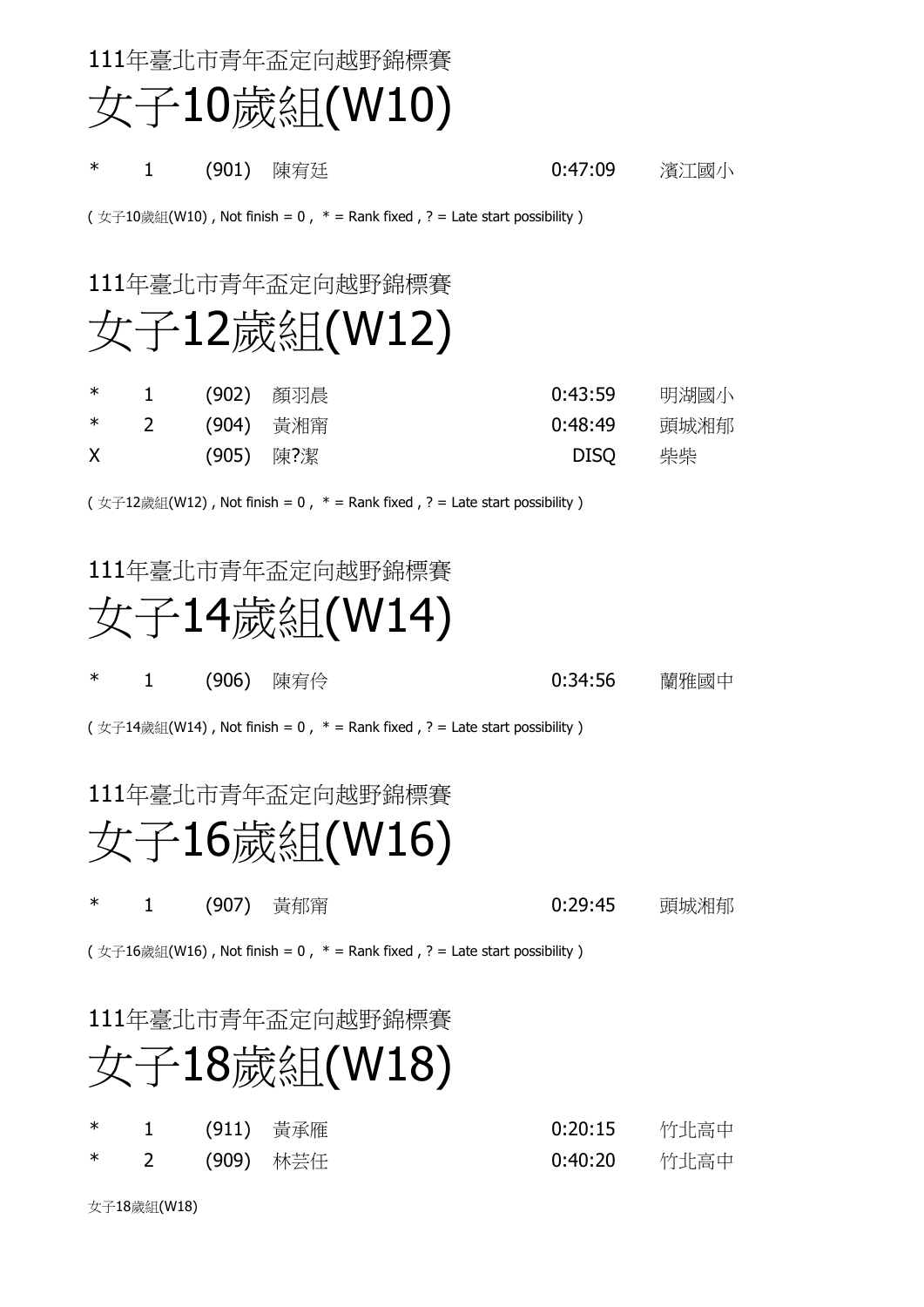111年臺北市青年盃定向越野錦標賽 女子10歲組(W10)

\* 1 (901) 陳宥廷 0:47:09 濱江國小

( 女子10歲組(W10), Not finish = 0,  $*$  = Rank fixed, ? = Late start possibility)

111年臺北市青年盃定向越野錦標賽

### 女子12歲組(W12)

| $\ast$       | $\sim$ 1 |           | (902) 顔羽晨 | 0:43:59     | 明湖國小 |
|--------------|----------|-----------|-----------|-------------|------|
| $*$ 2        |          | (904) 黃湘甯 |           | 0:48:49     | 頭城湘郁 |
| $\mathsf{X}$ |          | (905) 陳?潔 |           | <b>DISO</b> | 柴柴   |

( 女子12歲組(W12), Not finish = 0,  $*$  = Rank fixed, ? = Late start possibility)

#### 111年臺北市青年盃定向越野錦標賽



\* 2 1 (906) 陳宥仱 1 1 (906) 60:34:56 蘭雅國中

( 女子14歲組(W14), Not finish = 0,  $*$  = Rank fixed, ? = Late start possibility)

#### 111年臺北市青年盃定向越野錦標賽

### 女子16歲組(W16)

\* 2 1 (907) 黃郁甯 1 29:45 現城湘郁

( 女子16歲組(W16), Not finish = 0,  $*$  = Rank fixed, ? = Late start possibility)

111年臺北市青年盃定向越野錦標賽

## 女子18歲組(W18)

|  | *  1  (911) 黃承雁 | 0:20:15  竹北高中 |  |
|--|-----------------|---------------|--|
|  | *  2  (909) 林芸任 | 0:40:20  竹北高中 |  |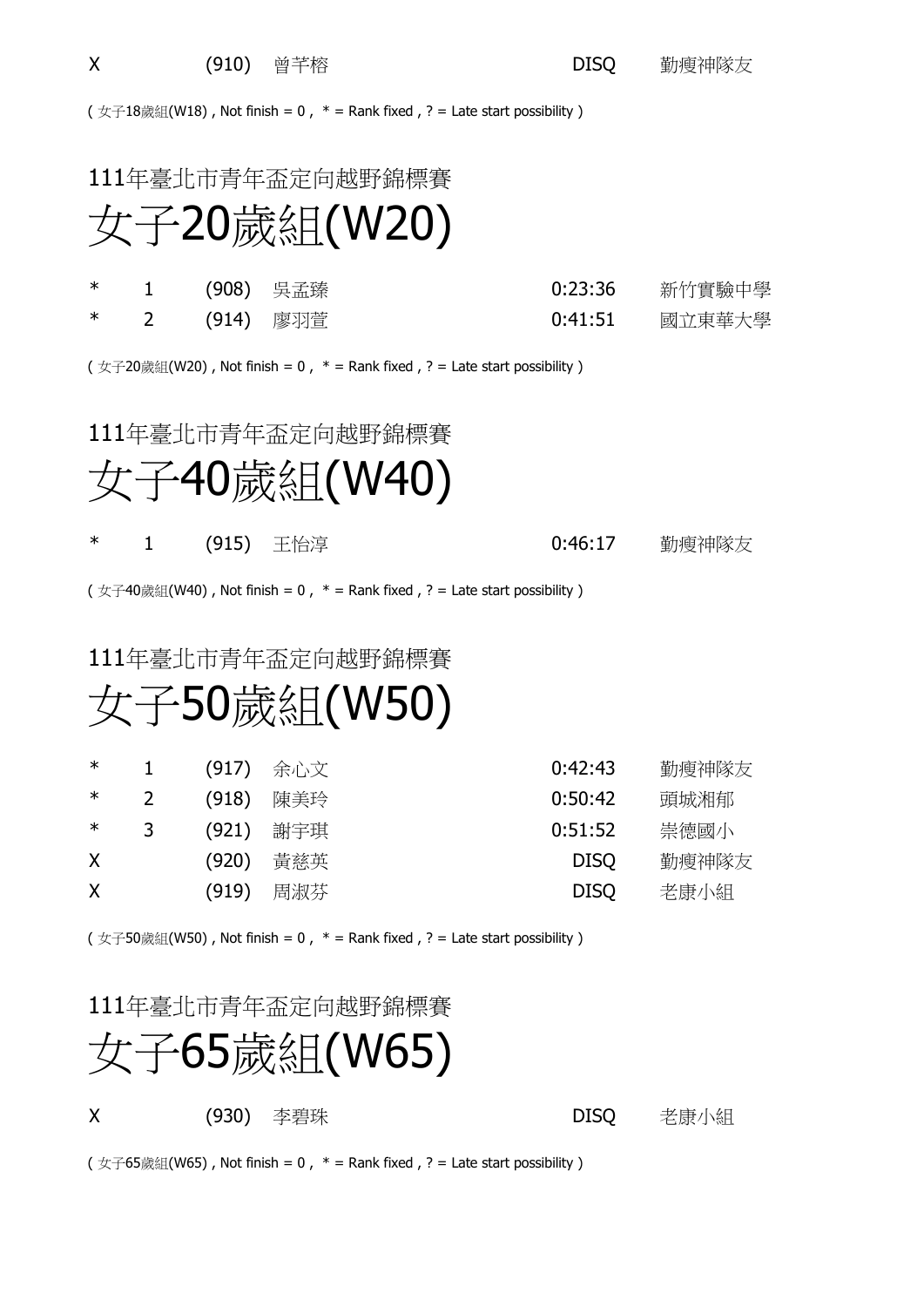( 女子18歲組(W18), Not finish = 0,  $*$  = Rank fixed, ? = Late start possibility)

### 111年臺北市青年盃定向越野錦標賽 女子20歲組(W20)

|  | *  1  (908) 吳孟臻 | 0:23:36   新竹實驗中學 |
|--|-----------------|------------------|
|  | *  2  (914) 廖羽萱 |                  |

( 女子20歲組(W20), Not finish = 0,  $*$  = Rank fixed, ? = Late start possibility)

#### 111年臺北市青年盃定向越野錦標賽



#### \* 1 (915) 王怡淳 1 - 1 (915) 巴伯克 1 - 1 (915) 巴伯克

( 女子40歲組(W40), Not finish = 0,  $*$  = Rank fixed, ? = Late start possibility)

#### 111年臺北市青年盃定向越野錦標賽

## 女子50歲組(W50)

| $\ast$ |   | (917) | 余心文 | 0:42:43     | 勤瘦神隊友 |
|--------|---|-------|-----|-------------|-------|
| ∗      |   | (918) | 陳美玲 | 0:50:42     | 頭城湘郁  |
| ∗      | 3 | (921) | 謝宇琪 | 0:51:52     | 崇德國小  |
| X      |   | (920) | 黃慈英 | <b>DISO</b> | 勤瘦神隊友 |
| X      |   | (919) | 周淑芬 | <b>DISO</b> | 老康小組  |

( 女子50歲組(W50), Not finish = 0,  $*$  = Rank fixed, ? = Late start possibility )

#### 111年臺北市青年盃定向越野錦標賽



X (930) 李碧珠 DISQ 老康小組

( 女子65歲組(W65), Not finish = 0,  $*$  = Rank fixed, ? = Late start possibility)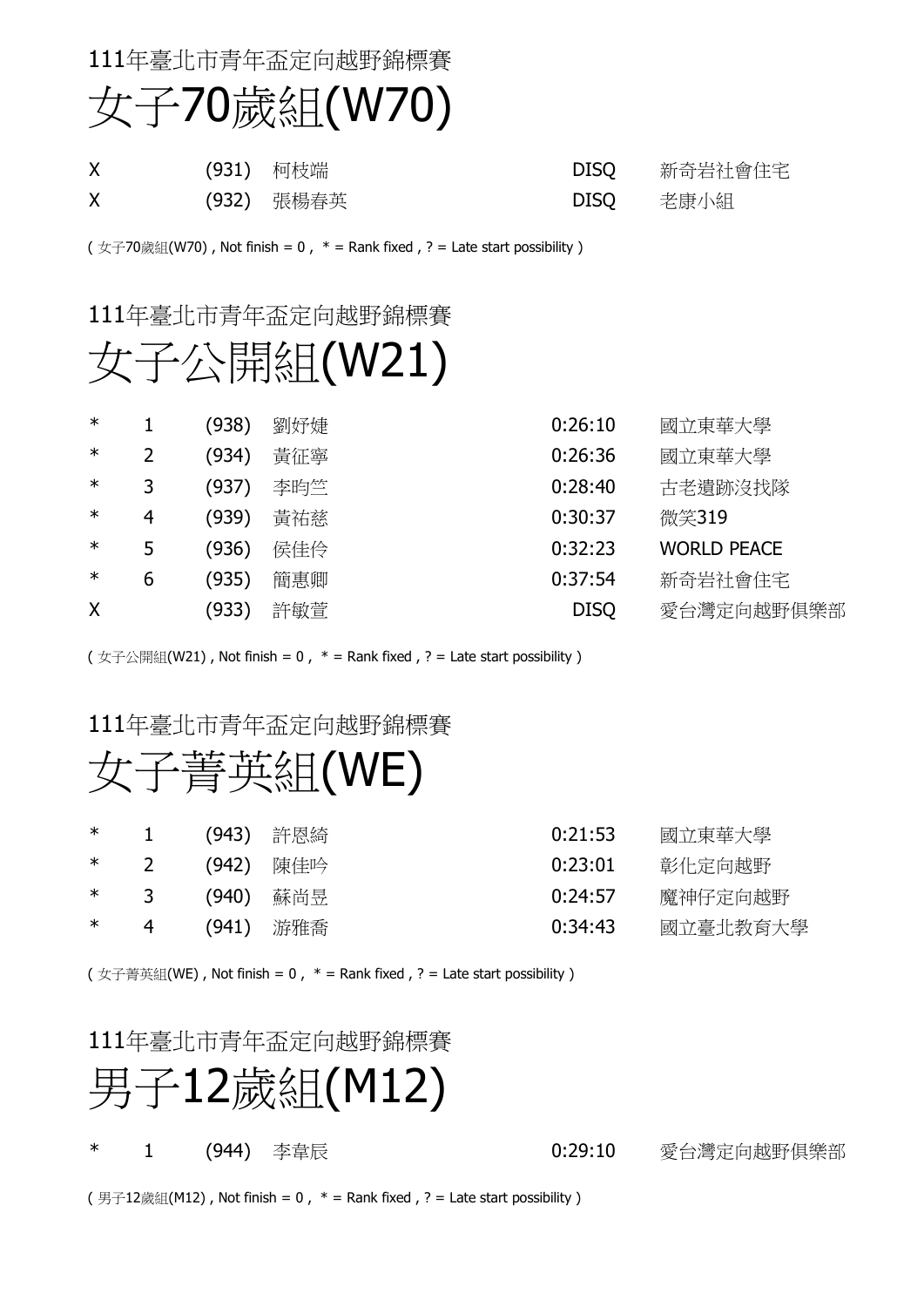### 111年臺北市青年盃定向越野錦標賽 女子70歲組(W70)

| X | (931) 柯枝端  |           | DISQ 新奇岩社會住宅 |
|---|------------|-----------|--------------|
|   | (932) 張楊春英 | DISQ 老康小組 |              |

( 女子70歲組(W70), Not finish = 0,  $*$  = Rank fixed, ? = Late start possibility)

#### 111年臺北市青年盃定向越野錦標賽

## 女子公開組(W21)

| $\ast$ |   | (938) | 劉妤婕 | 0:26:10<br>國立東華大學             |
|--------|---|-------|-----|-------------------------------|
| $\ast$ | 2 | (934) | 黃征寧 | 0:26:36<br>國立東華大學             |
| $\ast$ |   | (937) | 李昀竺 | 0:28:40<br>古老遺跡沒找隊            |
| $\ast$ | 4 | (939) | 黃祐慈 | 0:30:37<br>微笑319              |
| $\ast$ | 5 | (936) | 侯佳伶 | 0:32:23<br><b>WORLD PEACE</b> |
| $\ast$ | 6 | (935) | 簡惠卿 | 0:37:54<br>新奇岩社會住宅            |
| X      |   | (933) | 許敏萱 | <b>DISQ</b><br>愛台灣定向越野俱樂部     |

( 女子公開組(W21), Not finish = 0,  $*$  = Rank fixed, ? = Late start possibility)

#### 111年臺北市青年盃定向越野錦標賽

### 女子菁英組(WE)

| ∗      | $\mathbf{1}$   | (943) 許恩綺 | 0:21:53 | 國立東華大學   |
|--------|----------------|-----------|---------|----------|
|        | $*$ 2          | (942) 陳佳吟 | 0:23:01 | 彰化定向越野   |
|        | $*$ 3          | (940) 蘇尚昱 | 0:24:57 | 魔神仔定向越野  |
| $\ast$ | $\overline{4}$ | (941) 游雅喬 | 0:34:43 | 國立臺北教育大學 |

( 女子菁英組(WE), Not finish = 0,  $*$  = Rank fixed, ? = Late start possibility)

#### 111年臺北市青年盃定向越野錦標賽



\* 2 1 (944) 李韋辰 20:29:10 2:29:10 愛台灣定向越野俱樂部

(男子12歲組(M12), Not finish = 0,  $*$  = Rank fixed, ? = Late start possibility)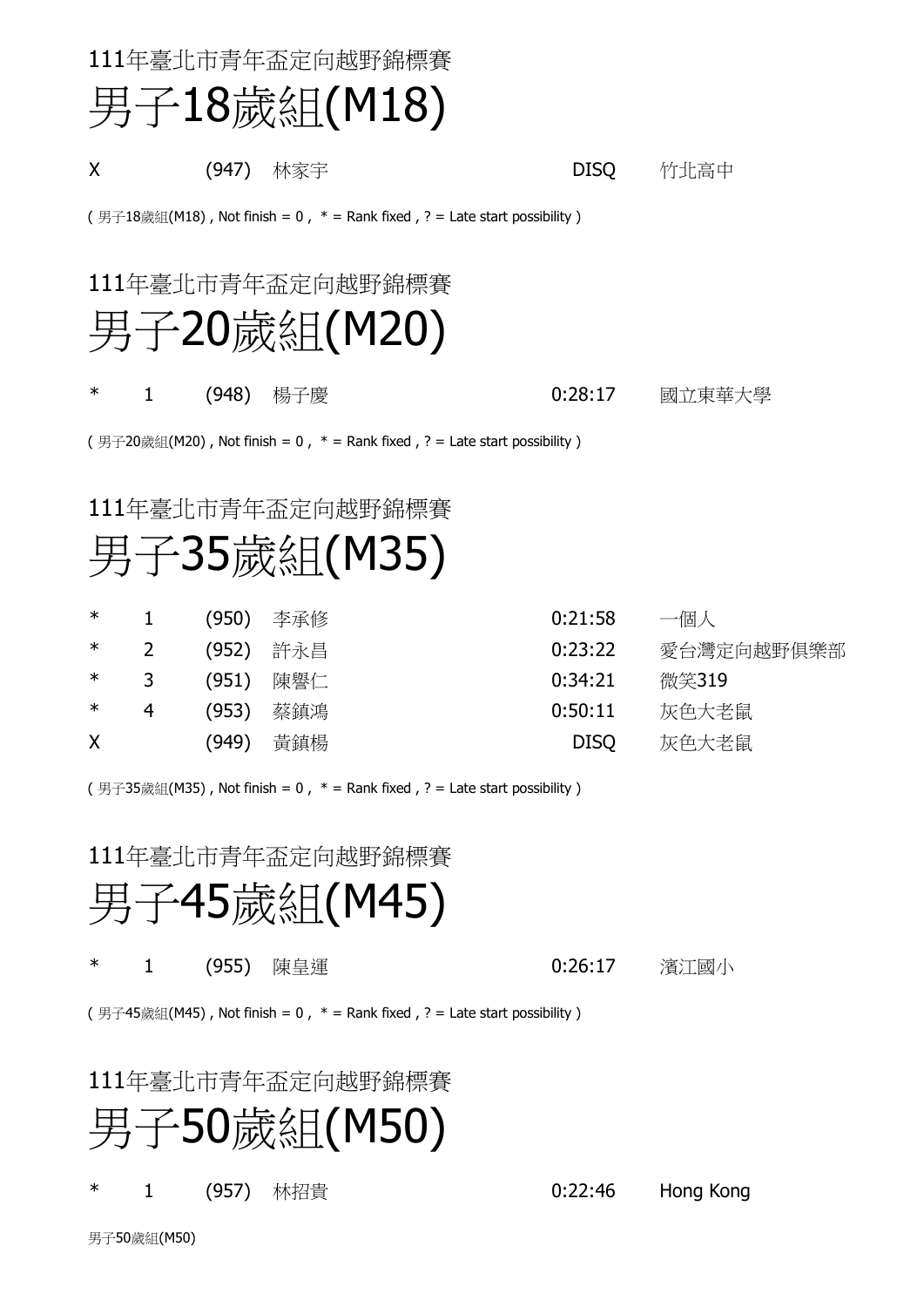| 111年臺北市青年盃定向越野錦標賽                                                           |                                                                             |             |        |  |  |  |  |
|-----------------------------------------------------------------------------|-----------------------------------------------------------------------------|-------------|--------|--|--|--|--|
|                                                                             | 男子18歲組(M18)                                                                 |             |        |  |  |  |  |
| X                                                                           | (947) 林家宇                                                                   | <b>DISQ</b> | 竹北高中   |  |  |  |  |
|                                                                             | (男子18歲組(M18), Not finish = 0, $*$ = Rank fixed, ? = Late start possibility) |             |        |  |  |  |  |
|                                                                             | 111年臺北市青年盃定向越野錦標賽<br>男子20歲組(M20)                                            |             |        |  |  |  |  |
| $\ast$<br>1                                                                 | (948) 楊子慶                                                                   | 0:28:17     | 國立東華大學 |  |  |  |  |
| (男子20歲組(M20), Not finish = 0, $*$ = Rank fixed, ? = Late start possibility) |                                                                             |             |        |  |  |  |  |
| 111年臺北市青年盃定向越野錦標賽<br>男子35歲組(M35)                                            |                                                                             |             |        |  |  |  |  |

| $\ast$       |   | (950) | 李承修 | 0:21:58     | 一個人        |
|--------------|---|-------|-----|-------------|------------|
| $\ast$       |   | (952) | 許永昌 | 0:23:22     | 愛台灣定向越野俱樂部 |
| $\ast$       | 3 | (951) | 陳譽仁 | 0:34:21     | 微笑319      |
| $\ast$       | 4 | (953) | 蔡鎮鴻 | 0:50:11     | 灰色大老鼠      |
| $\mathsf{X}$ |   | (949) | 黃鎮楊 | <b>DISQ</b> | 灰色大老鼠      |

(男子35歲組(M35), Not finish = 0,  $*$  = Rank fixed, ? = Late start possibility)

111年臺北市青年盃定向越野錦標賽

## 男子45歲組(M45)

\* 1 (955) 陳皇運 0:26:17 濱江國小

(男子45歲組(M45), Not finish =  $0$ ,  $*$  = Rank fixed, ? = Late start possibility)

#### 111年臺北市青年盃定向越野錦標賽



\* 1 (957) 林招貴 0:22:46 Hong Kong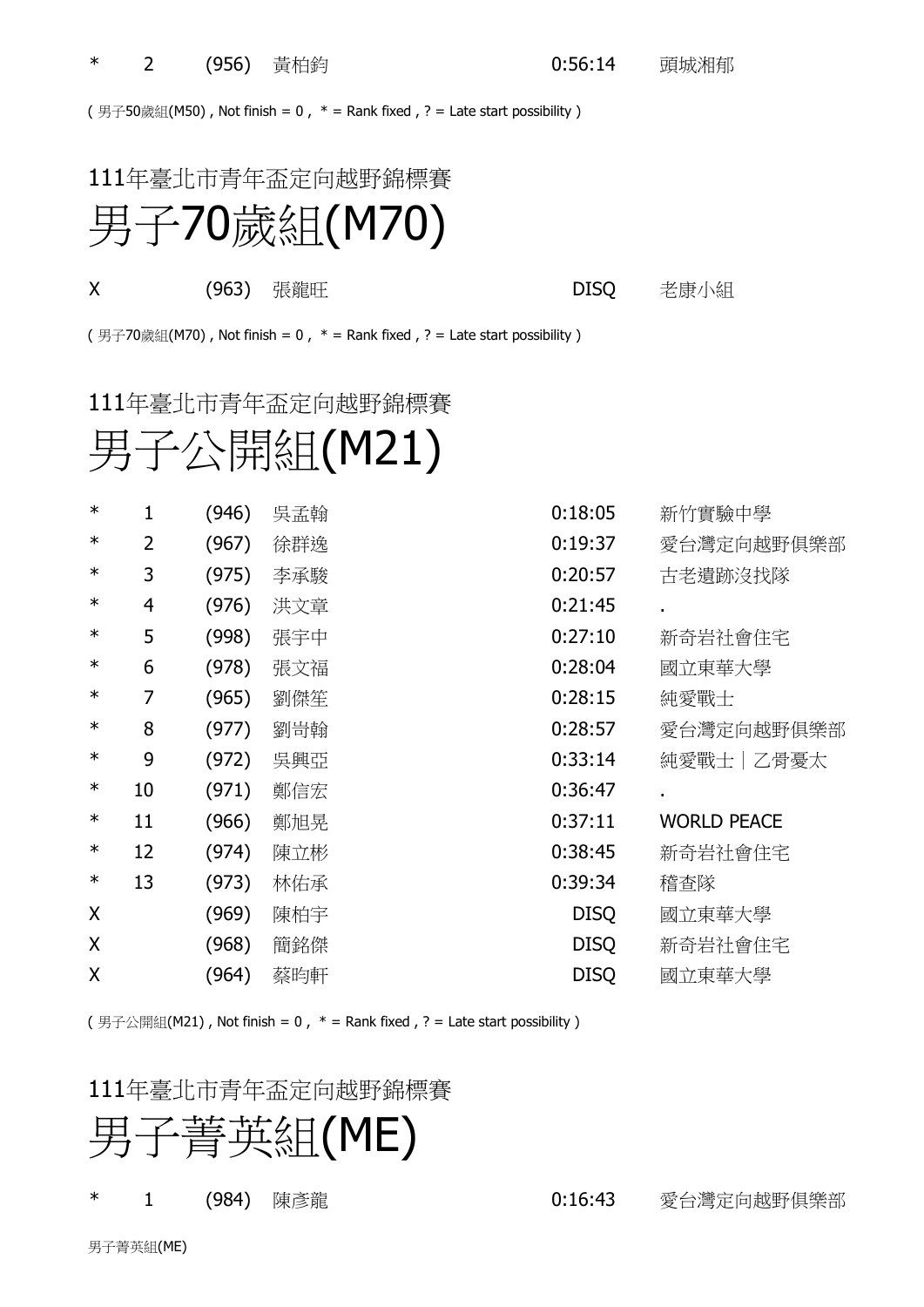(男子50歲組(M50), Not finish = 0,  $*$  = Rank fixed, ? = Late start possibility)

### 111年臺北市青年盃定向越野錦標賽

# 男子70歲組(M70)

**X** (963) 張龍旺 **DISQ** 老康小組

(男子70歲組(M70), Not finish = 0,  $*$  = Rank fixed, ? = Late start possibility)

#### 111年臺北市青年盃定向越野錦標賽

### 男子公開組(M21)

| $\ast$ | 1  | (946) | 吳孟翰 | 0:18:05<br>新竹實驗中學             |
|--------|----|-------|-----|-------------------------------|
| $\ast$ | 2  | (967) | 徐群逸 | 0:19:37<br>愛台灣定向越野俱樂部         |
| $\ast$ | 3  | (975) | 李承駿 | 0:20:57<br>古老遺跡沒找隊            |
| $\ast$ | 4  | (976) | 洪文章 | 0:21:45<br>$\blacksquare$     |
| $\ast$ | 5  | (998) | 張宇中 | 0:27:10<br>新奇岩社會住宅            |
| $\ast$ | 6  | (978) | 張文福 | 0:28:04<br>國立東華大學             |
| $\ast$ | 7  | (965) | 劉傑笙 | 0:28:15<br>純愛戰士               |
| $\ast$ | 8  | (977) | 劉岢翰 | 0:28:57<br>愛台灣定向越野俱樂部         |
| $\ast$ | 9  | (972) | 吳興亞 | 0:33:14<br> 純愛戰士 乙骨憂太         |
| $\ast$ | 10 | (971) | 鄭信宏 | 0:36:47<br>$\blacksquare$     |
| $\ast$ | 11 | (966) | 鄭旭晃 | 0:37:11<br><b>WORLD PEACE</b> |
| $\ast$ | 12 | (974) | 陳立彬 | 0:38:45<br>新奇岩社會住宅            |
| $\ast$ | 13 | (973) | 林佑承 | 0:39:34<br>稽查隊                |
| Χ      |    | (969) | 陳柏宇 | <b>DISQ</b><br>國立東華大學         |
| X      |    | (968) | 簡銘傑 | <b>DISQ</b><br>新奇岩社會住宅        |
| Χ      |    | (964) | 蔡昀軒 | <b>DISQ</b><br>國立東華大學         |

(男子公開組(M21), Not finish = 0,  $*$  = Rank fixed, ? = Late start possibility)

#### 111年臺北市青年盃定向越野錦標賽



\* 2 1 (984) 陳彥龍 カランチン 16:43 愛台灣定向越野俱樂部